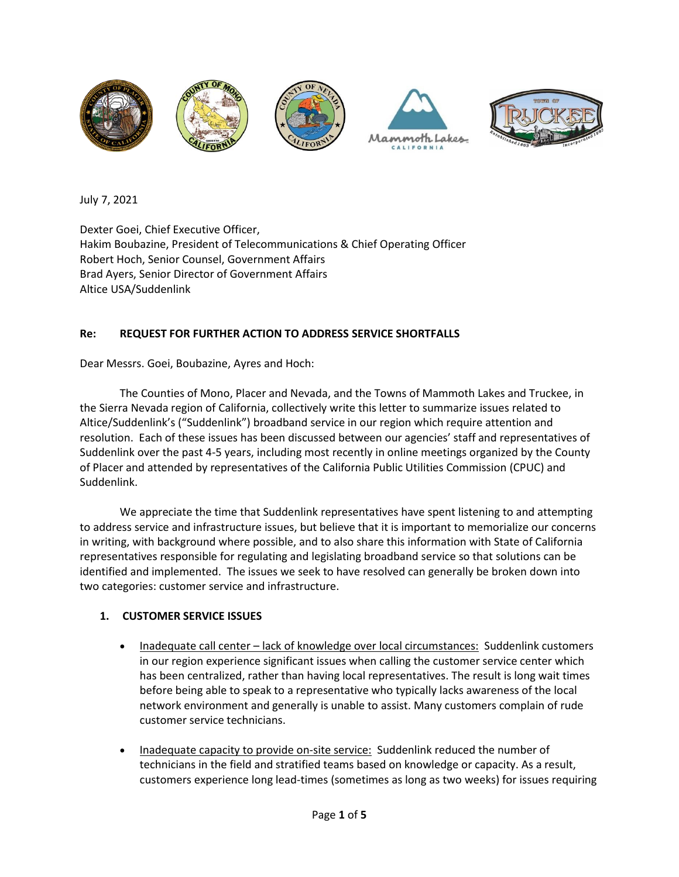

July 7, 2021

Dexter Goei, Chief Executive Officer, [Hakim Boubazine,](https://www.alticeusa.com/hakim-boubazine/) President of Telecommunications & Chief Operating Officer Robert Hoch, Senior Counsel, Government Affairs Brad Ayers, Senior Director of Government Affairs Altice USA/Suddenlink

## **Re: REQUEST FOR FURTHER ACTION TO ADDRESS SERVICE SHORTFALLS**

Dear Messrs. Goei, Boubazine, Ayres and Hoch:

The Counties of Mono, Placer and Nevada, and the Towns of Mammoth Lakes and Truckee, in the Sierra Nevada region of California, collectively write this letter to summarize issues related to Altice/Suddenlink's ("Suddenlink") broadband service in our region which require attention and resolution. Each of these issues has been discussed between our agencies' staff and representatives of Suddenlink over the past 4-5 years, including most recently in online meetings organized by the County of Placer and attended by representatives of the California Public Utilities Commission (CPUC) and Suddenlink.

We appreciate the time that Suddenlink representatives have spent listening to and attempting to address service and infrastructure issues, but believe that it is important to memorialize our concerns in writing, with background where possible, and to also share this information with State of California representatives responsible for regulating and legislating broadband service so that solutions can be identified and implemented. The issues we seek to have resolved can generally be broken down into two categories: customer service and infrastructure.

## **1. CUSTOMER SERVICE ISSUES**

- Inadequate call center lack of knowledge over local circumstances: Suddenlink customers in our region experience significant issues when calling the customer service center which has been centralized, rather than having local representatives. The result is long wait times before being able to speak to a representative who typically lacks awareness of the local network environment and generally is unable to assist. Many customers complain of rude customer service technicians.
- Inadequate capacity to provide on-site service: Suddenlink reduced the number of technicians in the field and stratified teams based on knowledge or capacity. As a result, customers experience long lead-times (sometimes as long as two weeks) for issues requiring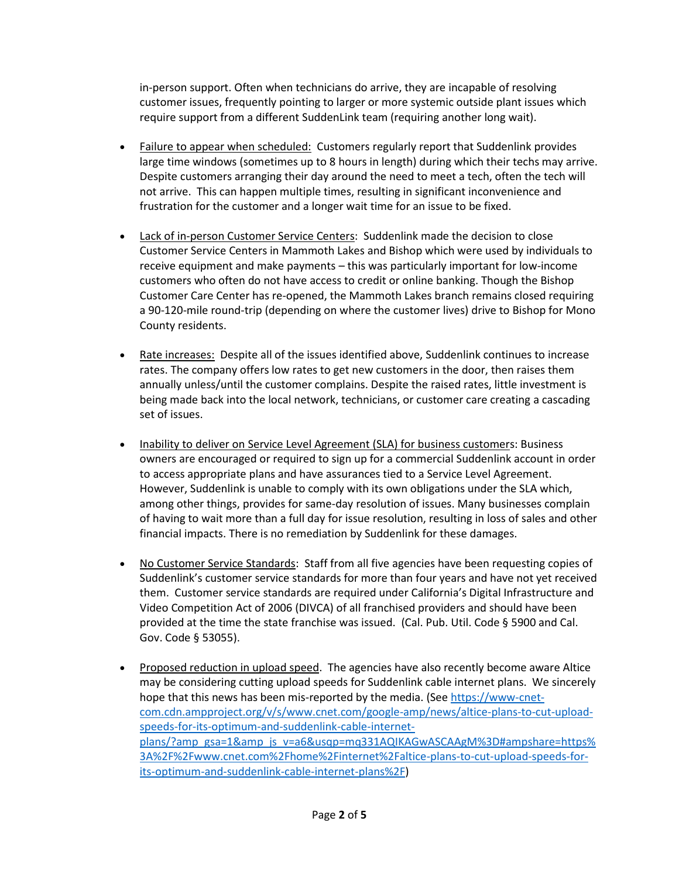in-person support. Often when technicians do arrive, they are incapable of resolving customer issues, frequently pointing to larger or more systemic outside plant issues which require support from a different SuddenLink team (requiring another long wait).

- Failure to appear when scheduled: Customers regularly report that Suddenlink provides large time windows (sometimes up to 8 hours in length) during which their techs may arrive. Despite customers arranging their day around the need to meet a tech, often the tech will not arrive. This can happen multiple times, resulting in significant inconvenience and frustration for the customer and a longer wait time for an issue to be fixed.
- Lack of in-person Customer Service Centers: Suddenlink made the decision to close Customer Service Centers in Mammoth Lakes and Bishop which were used by individuals to receive equipment and make payments – this was particularly important for low-income customers who often do not have access to credit or online banking. Though the Bishop Customer Care Center has re-opened, the Mammoth Lakes branch remains closed requiring a 90-120-mile round-trip (depending on where the customer lives) drive to Bishop for Mono County residents.
- Rate increases: Despite all of the issues identified above, Suddenlink continues to increase rates. The company offers low rates to get new customers in the door, then raises them annually unless/until the customer complains. Despite the raised rates, little investment is being made back into the local network, technicians, or customer care creating a cascading set of issues.
- Inability to deliver on Service Level Agreement (SLA) for business customers: Business owners are encouraged or required to sign up for a commercial Suddenlink account in order to access appropriate plans and have assurances tied to a Service Level Agreement. However, Suddenlink is unable to comply with its own obligations under the SLA which, among other things, provides for same-day resolution of issues. Many businesses complain of having to wait more than a full day for issue resolution, resulting in loss of sales and other financial impacts. There is no remediation by Suddenlink for these damages.
- No Customer Service Standards: Staff from all five agencies have been requesting copies of Suddenlink's customer service standards for more than four years and have not yet received them. Customer service standards are required under California's Digital Infrastructure and Video Competition Act of 2006 (DIVCA) of all franchised providers and should have been provided at the time the state franchise was issued. (Cal. Pub. Util. Code § 5900 and Cal. Gov. Code § 53055).
- Proposed reduction in upload speed. The agencies have also recently become aware Altice may be considering cutting upload speeds for Suddenlink cable internet plans. We sincerely hope that this news has been mis-reported by the media. (Se[e https://www-cnet](https://www-cnet-com.cdn.ampproject.org/v/s/www.cnet.com/google-amp/news/altice-plans-to-cut-upload-speeds-for-its-optimum-and-suddenlink-cable-internet-plans/?amp_gsa=1&_js_v=a6&usqp=mq331AQIKAGwASCAAgM%3D#ampshare=https%3A%2F%2Fwww.cnet.com%2Fhome%2Finternet%2Faltice-plans-to-cut-upload-speeds-for-its-optimum-and-suddenlink-cable-internet-plans%2F)[com.cdn.ampproject.org/v/s/www.cnet.com/google-amp/news/altice-plans-to-cut-upload](https://www-cnet-com.cdn.ampproject.org/v/s/www.cnet.com/google-amp/news/altice-plans-to-cut-upload-speeds-for-its-optimum-and-suddenlink-cable-internet-plans/?amp_gsa=1&_js_v=a6&usqp=mq331AQIKAGwASCAAgM%3D#ampshare=https%3A%2F%2Fwww.cnet.com%2Fhome%2Finternet%2Faltice-plans-to-cut-upload-speeds-for-its-optimum-and-suddenlink-cable-internet-plans%2F)[speeds-for-its-optimum-and-suddenlink-cable-internet](https://www-cnet-com.cdn.ampproject.org/v/s/www.cnet.com/google-amp/news/altice-plans-to-cut-upload-speeds-for-its-optimum-and-suddenlink-cable-internet-plans/?amp_gsa=1&_js_v=a6&usqp=mq331AQIKAGwASCAAgM%3D#ampshare=https%3A%2F%2Fwww.cnet.com%2Fhome%2Finternet%2Faltice-plans-to-cut-upload-speeds-for-its-optimum-and-suddenlink-cable-internet-plans%2F)[plans/?amp\\_gsa=1&amp\\_js\\_v=a6&usqp=mq331AQIKAGwASCAAgM%3D#ampshare=https%](https://www-cnet-com.cdn.ampproject.org/v/s/www.cnet.com/google-amp/news/altice-plans-to-cut-upload-speeds-for-its-optimum-and-suddenlink-cable-internet-plans/?amp_gsa=1&_js_v=a6&usqp=mq331AQIKAGwASCAAgM%3D#ampshare=https%3A%2F%2Fwww.cnet.com%2Fhome%2Finternet%2Faltice-plans-to-cut-upload-speeds-for-its-optimum-and-suddenlink-cable-internet-plans%2F) [3A%2F%2Fwww.cnet.com%2Fhome%2Finternet%2Faltice-plans-to-cut-upload-speeds-for](https://www-cnet-com.cdn.ampproject.org/v/s/www.cnet.com/google-amp/news/altice-plans-to-cut-upload-speeds-for-its-optimum-and-suddenlink-cable-internet-plans/?amp_gsa=1&_js_v=a6&usqp=mq331AQIKAGwASCAAgM%3D#ampshare=https%3A%2F%2Fwww.cnet.com%2Fhome%2Finternet%2Faltice-plans-to-cut-upload-speeds-for-its-optimum-and-suddenlink-cable-internet-plans%2F)[its-optimum-and-suddenlink-cable-internet-plans%2F\)](https://www-cnet-com.cdn.ampproject.org/v/s/www.cnet.com/google-amp/news/altice-plans-to-cut-upload-speeds-for-its-optimum-and-suddenlink-cable-internet-plans/?amp_gsa=1&_js_v=a6&usqp=mq331AQIKAGwASCAAgM%3D#ampshare=https%3A%2F%2Fwww.cnet.com%2Fhome%2Finternet%2Faltice-plans-to-cut-upload-speeds-for-its-optimum-and-suddenlink-cable-internet-plans%2F)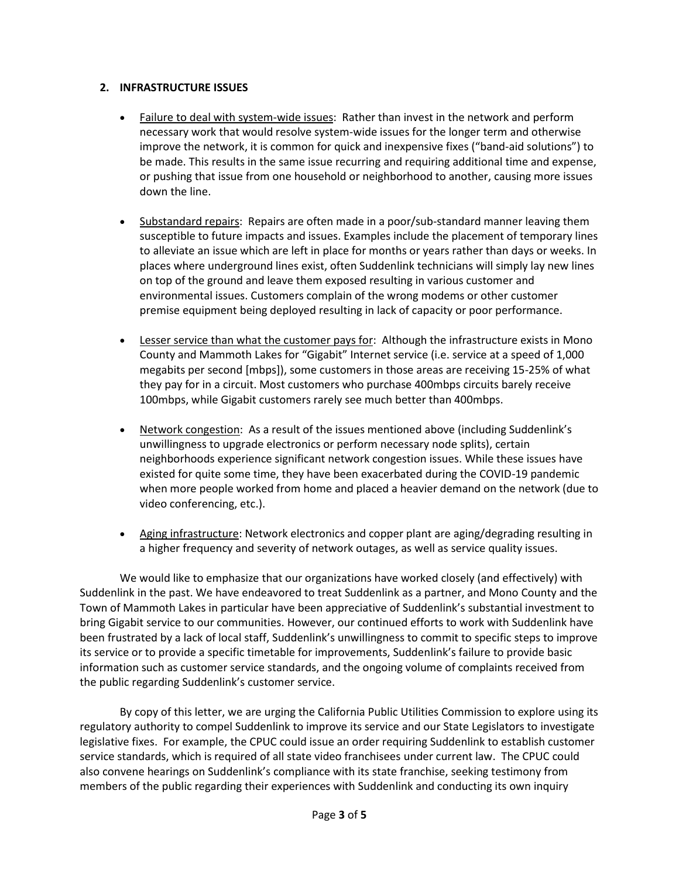## **2. INFRASTRUCTURE ISSUES**

- Failure to deal with system-wide issues: Rather than invest in the network and perform necessary work that would resolve system-wide issues for the longer term and otherwise improve the network, it is common for quick and inexpensive fixes ("band-aid solutions") to be made. This results in the same issue recurring and requiring additional time and expense, or pushing that issue from one household or neighborhood to another, causing more issues down the line.
- Substandard repairs: Repairs are often made in a poor/sub-standard manner leaving them susceptible to future impacts and issues. Examples include the placement of temporary lines to alleviate an issue which are left in place for months or years rather than days or weeks. In places where underground lines exist, often Suddenlink technicians will simply lay new lines on top of the ground and leave them exposed resulting in various customer and environmental issues. Customers complain of the wrong modems or other customer premise equipment being deployed resulting in lack of capacity or poor performance.
- Lesser service than what the customer pays for: Although the infrastructure exists in Mono County and Mammoth Lakes for "Gigabit" Internet service (i.e. service at a speed of 1,000 megabits per second [mbps]), some customers in those areas are receiving 15-25% of what they pay for in a circuit. Most customers who purchase 400mbps circuits barely receive 100mbps, while Gigabit customers rarely see much better than 400mbps.
- Network congestion: As a result of the issues mentioned above (including Suddenlink's unwillingness to upgrade electronics or perform necessary node splits), certain neighborhoods experience significant network congestion issues. While these issues have existed for quite some time, they have been exacerbated during the COVID-19 pandemic when more people worked from home and placed a heavier demand on the network (due to video conferencing, etc.).
- Aging infrastructure: Network electronics and copper plant are aging/degrading resulting in a higher frequency and severity of network outages, as well as service quality issues.

We would like to emphasize that our organizations have worked closely (and effectively) with Suddenlink in the past. We have endeavored to treat Suddenlink as a partner, and Mono County and the Town of Mammoth Lakes in particular have been appreciative of Suddenlink's substantial investment to bring Gigabit service to our communities. However, our continued efforts to work with Suddenlink have been frustrated by a lack of local staff, Suddenlink's unwillingness to commit to specific steps to improve its service or to provide a specific timetable for improvements, Suddenlink's failure to provide basic information such as customer service standards, and the ongoing volume of complaints received from the public regarding Suddenlink's customer service.

By copy of this letter, we are urging the California Public Utilities Commission to explore using its regulatory authority to compel Suddenlink to improve its service and our State Legislators to investigate legislative fixes. For example, the CPUC could issue an order requiring Suddenlink to establish customer service standards, which is required of all state video franchisees under current law. The CPUC could also convene hearings on Suddenlink's compliance with its state franchise, seeking testimony from members of the public regarding their experiences with Suddenlink and conducting its own inquiry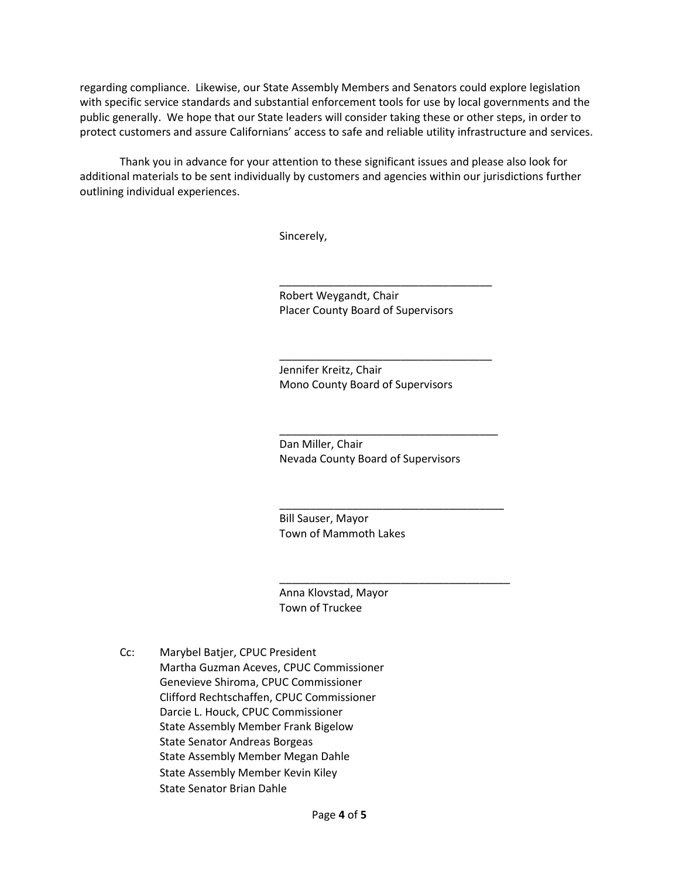regarding compliance. Likewise, our State Assembly Members and Senators could explore legislation with specific service standards and substantial enforcement tools for use by local governments and the public generally. We hope that our State leaders will consider taking these or other steps, in order to protect customers and assure Californians' access to safe and reliable utility infrastructure and services.

Thank you in advance for your attention to these significant issues and please also look for additional materials to be sent individually by customers and agencies within our jurisdictions further outlining individual experiences.

Sincerely,

Robert Weygandt, Chair Placer County Board of Supervisors

\_\_\_\_\_\_\_\_\_\_\_\_\_\_\_\_\_\_\_\_\_\_\_\_\_\_\_\_\_\_\_\_\_\_\_

\_\_\_\_\_\_\_\_\_\_\_\_\_\_\_\_\_\_\_\_\_\_\_\_\_\_\_\_\_\_\_\_\_\_\_

\_\_\_\_\_\_\_\_\_\_\_\_\_\_\_\_\_\_\_\_\_\_\_\_\_\_\_\_\_\_\_\_\_\_\_\_

\_\_\_\_\_\_\_\_\_\_\_\_\_\_\_\_\_\_\_\_\_\_\_\_\_\_\_\_\_\_\_\_\_\_\_\_\_

\_\_\_\_\_\_\_\_\_\_\_\_\_\_\_\_\_\_\_\_\_\_\_\_\_\_\_\_\_\_\_\_\_\_\_\_\_\_

Jennifer Kreitz, Chair Mono County Board of Supervisors

Dan Miller, Chair Nevada County Board of Supervisors

Bill Sauser, Mayor Town of Mammoth Lakes

Anna Klovstad, Mayor Town of Truckee

Cc: Marybel Batjer, CPUC President Martha Guzman Aceves, CPUC Commissioner Genevieve Shiroma, CPUC Commissioner Clifford Rechtschaffen, CPUC Commissioner Darcie L. Houck, CPUC Commissioner State Assembly Member Frank Bigelow State Senator Andreas Borgeas State Assembly Member Megan Dahle State Assembly Member Kevin Kiley State Senator Brian Dahle